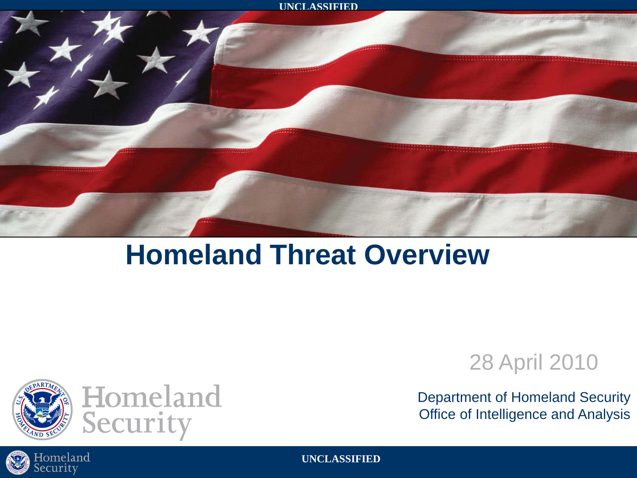

### **Homeland Threat Overview**



Homeland<br>Security

### 28 April 2010

Department of Homeland Security Office of Intelligence and Analysis

**UNCLASSIFIED**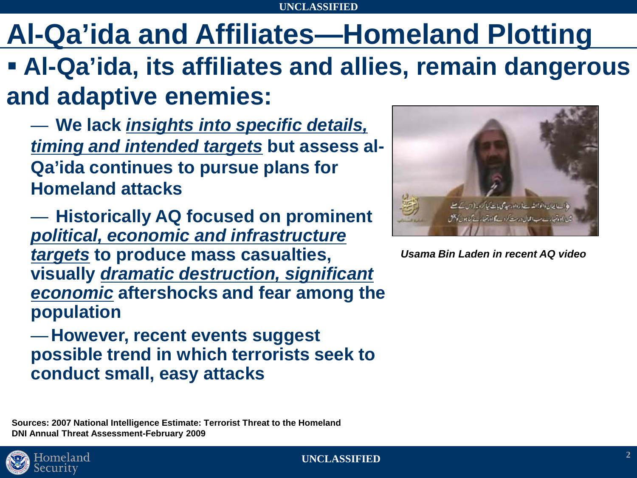### **Al-Qa'ida and Affiliates—Homeland Plotting**

- **Al-Qa'ida, its affiliates and allies, remain dangerous and adaptive enemies:**
	- **We lack** *insights into specific details, timing and intended targets* **but assess al-Qa'ida continues to pursue plans for Homeland attacks**
	- **Historically AQ focused on prominent**  *political, economic and infrastructure targets* **to produce mass casualties, visually** *dramatic destruction, significant economic* **aftershocks and fear among the population**
	- —**However, recent events suggest possible trend in which terrorists seek to conduct small, easy attacks**

**Sources: 2007 National Intelligence Estimate: Terrorist Threat to the Homeland DNI Annual Threat Assessment-February 2009**



*Usama Bin Laden in recent AQ video*

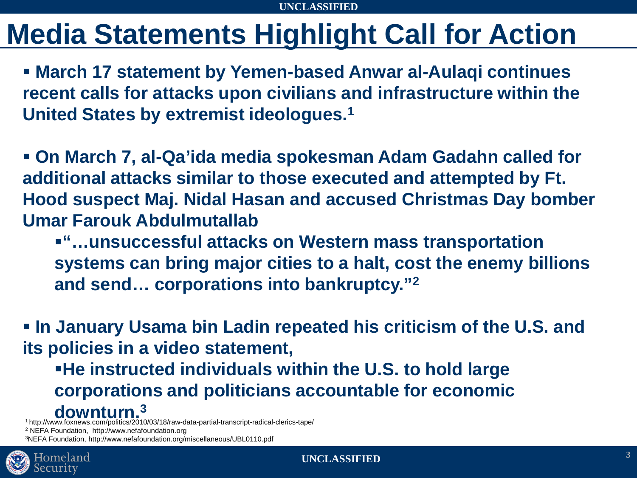### **Media Statements Highlight Call for Action**

 **March 17 statement by Yemen-based Anwar al-Aulaqi continues recent calls for attacks upon civilians and infrastructure within the United States by extremist ideologues.1**

 **On March 7, al-Qa'ida media spokesman Adam Gadahn called for additional attacks similar to those executed and attempted by Ft. Hood suspect Maj. Nidal Hasan and accused Christmas Day bomber Umar Farouk Abdulmutallab**

**"…unsuccessful attacks on Western mass transportation systems can bring major cities to a halt, cost the enemy billions and send… corporations into bankruptcy."2** 

 **In January Usama bin Ladin repeated his criticism of the U.S. and its policies in a video statement,** 

**He instructed individuals within the U.S. to hold large corporations and politicians accountable for economic downturn.3** 1 http://www.foxnews.com/politics/2010/03/18/raw-data-partial-transcript-radical-clerics-tape/

<sup>2</sup> NEFA Foundation, http://www.nefafoundation.org

3NEFA Foundation, http://www.nefafoundation.org/miscellaneous/UBL0110.pdf

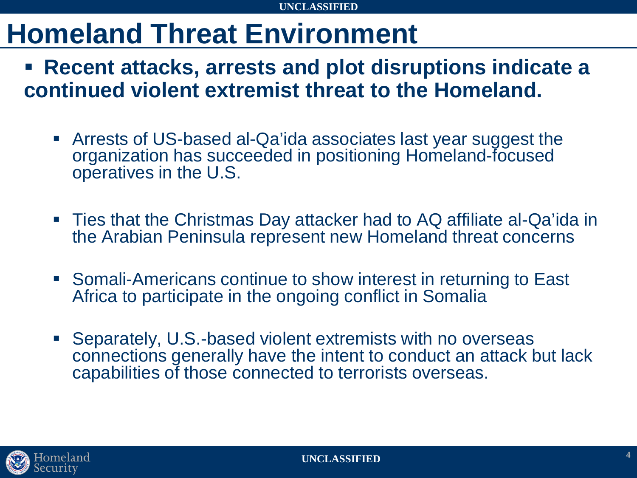### **Homeland Threat Environment**

 **Recent attacks, arrests and plot disruptions indicate a continued violent extremist threat to the Homeland.**

- Arrests of US-based al-Qa'ida associates last year suggest the organization has succeeded in positioning Homeland-focused operatives in the U.S.
- Ties that the Christmas Day attacker had to AQ affiliate al-Qa'ida in the Arabian Peninsula represent new Homeland threat concerns
- Somali-Americans continue to show interest in returning to East Africa to participate in the ongoing conflict in Somalia
- Separately, U.S.-based violent extremists with no overseas connections generally have the intent to conduct an attack but lack capabilities of those connected to terrorists overseas.

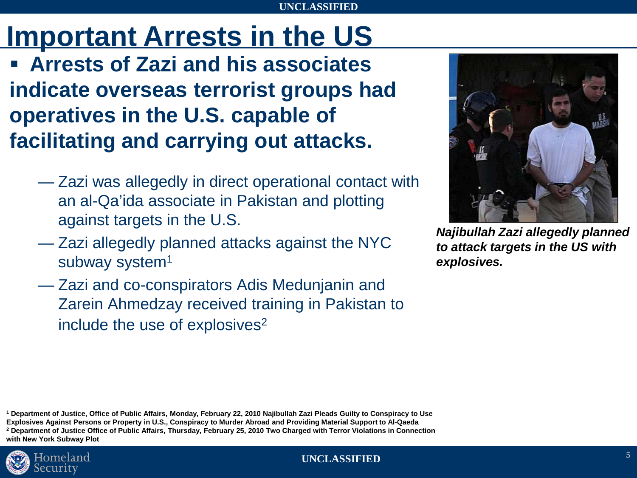## **Important Arrests in the US**

 **Arrests of Zazi and his associates indicate overseas terrorist groups had operatives in the U.S. capable of facilitating and carrying out attacks.**

- Zazi was allegedly in direct operational contact with an al-Qa'ida associate in Pakistan and plotting against targets in the U.S.
- Zazi allegedly planned attacks against the NYC subway system<sup>1</sup>
- Zazi and co-conspirators Adis Medunjanin and Zarein Ahmedzay received training in Pakistan to include the use of explosives<sup>2</sup>



*Najibullah Zazi allegedly planned to attack targets in the US with explosives.*

**<sup>1</sup> Department of Justice, Office of Public Affairs, Monday, February 22, 2010 Najibullah Zazi Pleads Guilty to Conspiracy to Use Explosives Against Persons or Property in U.S., Conspiracy to Murder Abroad and Providing Material Support to Al-Qaeda <sup>2</sup> Department of Justice Office of Public Affairs, Thursday, February 25, 2010 Two Charged with Terror Violations in Connection with New York Subway Plot**

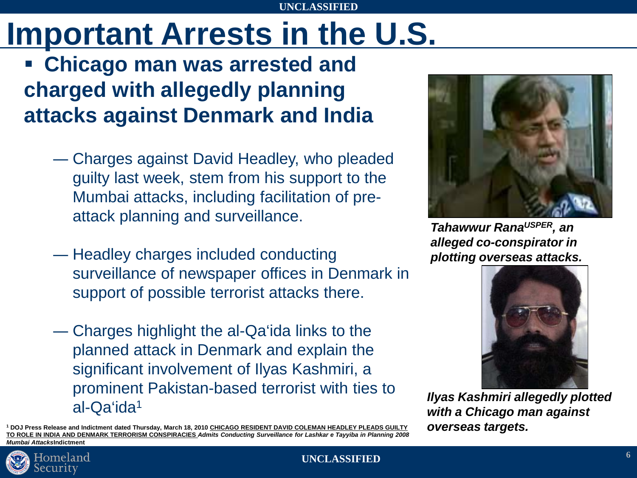# **Important Arrests in the U.S.**

### **Chicago man was arrested and charged with allegedly planning attacks against Denmark and India**

- ― Charges against David Headley, who pleaded guilty last week, stem from his support to the Mumbai attacks, including facilitation of preattack planning and surveillance.
- ― Headley charges included conducting surveillance of newspaper offices in Denmark in support of possible terrorist attacks there.
- ― Charges highlight the al-Qa'ida links to the planned attack in Denmark and explain the significant involvement of Ilyas Kashmiri, a prominent Pakistan-based terrorist with ties to al-Qa'ida1

**<sup>1</sup> DOJ Press Release and Indictment dated Thursday, March 18, 2010 CHICAGO RESIDENT DAVID COLEMAN HEADLEY PLEADS GUILTY TO ROLE IN INDIA AND DENMARK TERRORISM CONSPIRACIES** *Admits Conducting Surveillance for Lashkar e Tayyiba in Planning 2008 Mumbai Attacks***Indictment**



*Tahawwur RanaUSPER, an alleged co-conspirator in plotting overseas attacks.*



*Ilyas Kashmiri allegedly plotted with a Chicago man against overseas targets.*

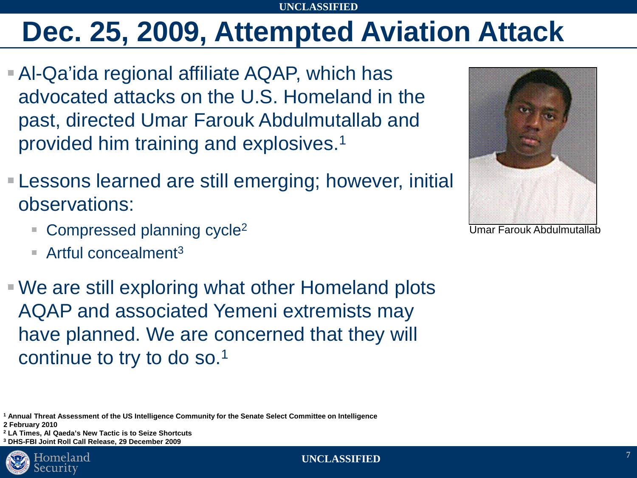### **Dec. 25, 2009, Attempted Aviation Attack**

- Al-Qa'ida regional affiliate AQAP, which has advocated attacks on the U.S. Homeland in the past, directed Umar Farouk Abdulmutallab and provided him training and explosives.1
- Lessons learned are still emerging; however, initial observations:
	- $\blacksquare$  Compressed planning cycle<sup>2</sup>
	- Artful concealment<sup>3</sup>

 We are still exploring what other Homeland plots AQAP and associated Yemeni extremists may have planned. We are concerned that they will continue to try to do so.1

**<sup>1</sup> Annual Threat Assessment of the US Intelligence Community for the Senate Select Committee on Intelligence 2 February 2010**

**<sup>2</sup> LA Times, Al Qaeda's New Tactic is to Seize Shortcuts**

**<sup>3</sup> DHS-FBI Joint Roll Call Release, 29 December 2009**





Umar Farouk Abdulmutallab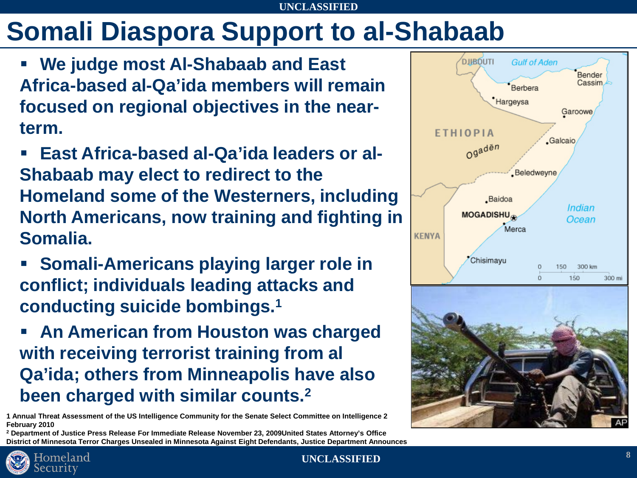### **Somali Diaspora Support to al-Shabaab**

- **We judge most Al-Shabaab and East Africa-based al-Qa'ida members will remain focused on regional objectives in the nearterm.**
- **East Africa-based al-Qa'ida leaders or al-Shabaab may elect to redirect to the Homeland some of the Westerners, including North Americans, now training and fighting in Somalia.**
- **Somali-Americans playing larger role in conflict; individuals leading attacks and conducting suicide bombings.1**
- **An American from Houston was charged with receiving terrorist training from al Qa'ida; others from Minneapolis have also been charged with similar counts.2**

**1 Annual Threat Assessment of the US Intelligence Community for the Senate Select Committee on Intelligence 2 February 2010**

**<sup>2</sup> Department of Justice Press Release For Immediate Release November 23, 2009United States Attorney's Office District of Minnesota Terror Charges Unsealed in Minnesota Against Eight Defendants, Justice Department Announces**





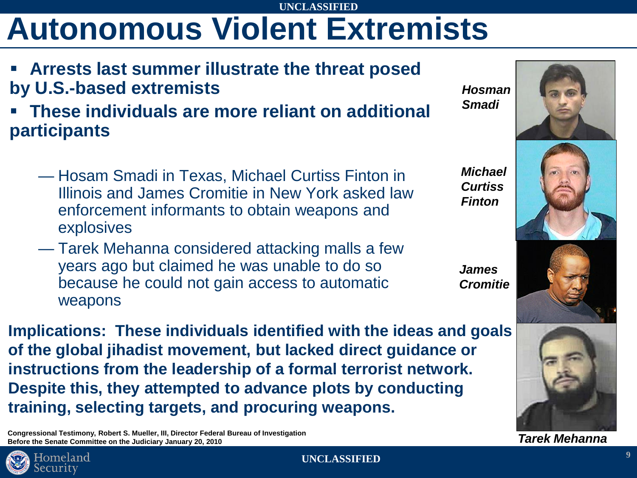# **Autonomous Violent Extremists**

- **Arrests last summer illustrate the threat posed by U.S.-based extremists**
- **These individuals are more reliant on additional participants**
	- Hosam Smadi in Texas, Michael Curtiss Finton in Illinois and James Cromitie in New York asked law enforcement informants to obtain weapons and explosives
	- Tarek Mehanna considered attacking malls a few years ago but claimed he was unable to do so because he could not gain access to automatic weapons

**Implications: These individuals identified with the ideas and goals of the global jihadist movement, but lacked direct guidance or instructions from the leadership of a formal terrorist network. Despite this, they attempted to advance plots by conducting training, selecting targets, and procuring weapons.** 

**Congressional Testimony, Robert S. Mueller, III, Director Federal Bureau of Investigation Before the Senate Committee on the Judiciary January 20, 2010**





*James* 

*Smadi*

*Michael Curtiss Finton*





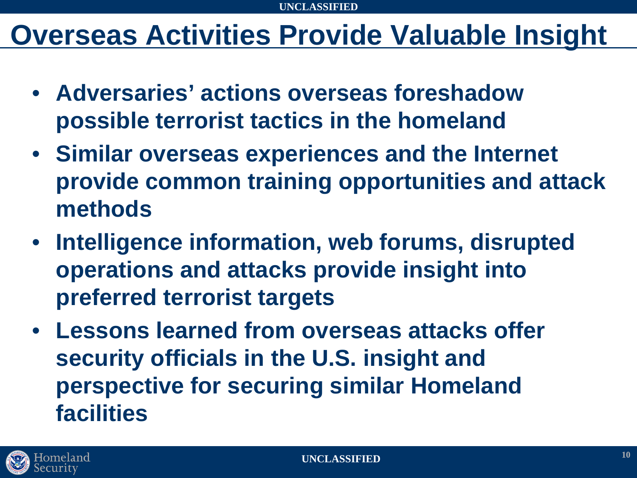### **Overseas Activities Provide Valuable Insight**

- **Adversaries' actions overseas foreshadow possible terrorist tactics in the homeland**
- **Similar overseas experiences and the Internet provide common training opportunities and attack methods**
- **Intelligence information, web forums, disrupted operations and attacks provide insight into preferred terrorist targets**
- **Lessons learned from overseas attacks offer security officials in the U.S. insight and perspective for securing similar Homeland facilities**

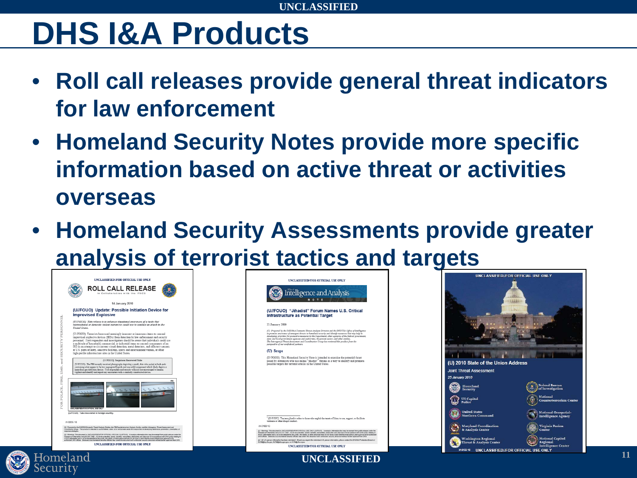## **DHS I&A Products**

- **Roll call releases provide general threat indicators for law enforcement**
- **Homeland Security Notes provide more specific information based on active threat or activities overseas**
- **Homeland Security Assessments provide greater analysis of terrorist tactics and targets**





**UNCLASSIFIED//FOR OFFICIAL USE ONLY**